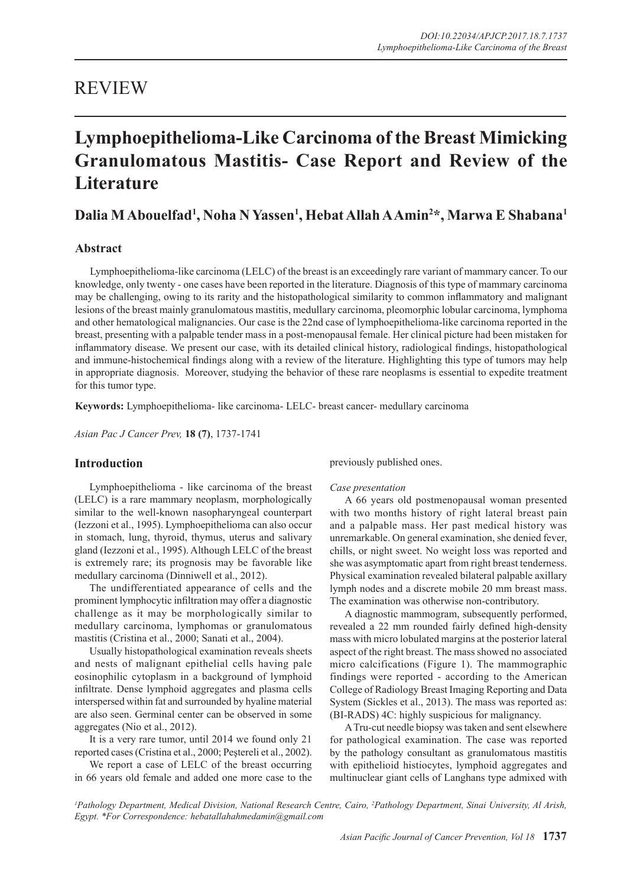# REVIEW

# **Lymphoepithelioma-Like Carcinoma of the Breast Mimicking Granulomatous Mastitis- Case Report and Review of the Literature**

## **Dalia M Abouelfad1 , Noha N Yassen1 , Hebat Allah A Amin2 \*, Marwa E Shabana1**

### **Abstract**

Lymphoepithelioma-like carcinoma (LELC) of the breast is an exceedingly rare variant of mammary cancer. To our knowledge, only twenty - one cases have been reported in the literature. Diagnosis of this type of mammary carcinoma may be challenging, owing to its rarity and the histopathological similarity to common inflammatory and malignant lesions of the breast mainly granulomatous mastitis, medullary carcinoma, pleomorphic lobular carcinoma, lymphoma and other hematological malignancies. Our case is the 22nd case of lymphoepithelioma-like carcinoma reported in the breast, presenting with a palpable tender mass in a post-menopausal female. Her clinical picture had been mistaken for inflammatory disease. We present our case, with its detailed clinical history, radiological findings, histopathological and immune-histochemical findings along with a review of the literature. Highlighting this type of tumors may help in appropriate diagnosis. Moreover, studying the behavior of these rare neoplasms is essential to expedite treatment for this tumor type.

**Keywords:** Lymphoepithelioma- like carcinoma- LELC- breast cancer- medullary carcinoma

*Asian Pac J Cancer Prev,* **18 (7)**, 1737-1741

#### **Introduction**

Lymphoepithelioma - like carcinoma of the breast (LELC) is a rare mammary neoplasm, morphologically similar to the well-known nasopharyngeal counterpart (Iezzoni et al., 1995). Lymphoepithelioma can also occur in stomach, lung, thyroid, thymus, uterus and salivary gland (Iezzoni et al., 1995). Although LELC of the breast is extremely rare; its prognosis may be favorable like medullary carcinoma (Dinniwell et al., 2012).

The undifferentiated appearance of cells and the prominent lymphocytic infiltration may offer a diagnostic challenge as it may be morphologically similar to medullary carcinoma, lymphomas or granulomatous mastitis (Cristina et al., 2000; Sanati et al., 2004).

Usually histopathological examination reveals sheets and nests of malignant epithelial cells having pale eosinophilic cytoplasm in a background of lymphoid infiltrate. Dense lymphoid aggregates and plasma cells interspersed within fat and surrounded by hyaline material are also seen. Germinal center can be observed in some aggregates (Nio et al., 2012).

It is a very rare tumor, until 2014 we found only 21 reported cases (Cristina et al., 2000; Peştereli et al., 2002).

We report a case of LELC of the breast occurring in 66 years old female and added one more case to the previously published ones.

#### *Case presentation*

A 66 years old postmenopausal woman presented with two months history of right lateral breast pain and a palpable mass. Her past medical history was unremarkable. On general examination, she denied fever, chills, or night sweet. No weight loss was reported and she was asymptomatic apart from right breast tenderness. Physical examination revealed bilateral palpable axillary lymph nodes and a discrete mobile 20 mm breast mass. The examination was otherwise non-contributory.

A diagnostic mammogram, subsequently performed, revealed a 22 mm rounded fairly defined high-density mass with micro lobulated margins at the posterior lateral aspect of the right breast. The mass showed no associated micro calcifications (Figure 1). The mammographic findings were reported - according to the American College of Radiology Breast Imaging Reporting and Data System (Sickles et al., 2013). The mass was reported as: (BI-RADS) 4C: highly suspicious for malignancy.

A Tru-cut needle biopsy was taken and sent elsewhere for pathological examination. The case was reported by the pathology consultant as granulomatous mastitis with epithelioid histiocytes, lymphoid aggregates and multinuclear giant cells of Langhans type admixed with

<sup>1</sup> Pathology Department, Medical Division, National Research Centre, Cairo, <sup>2</sup>Pathology Department, Sinai University, Al Arish, *Egypt. \*For Correspondence: hebatallahahmedamin@gmail.com*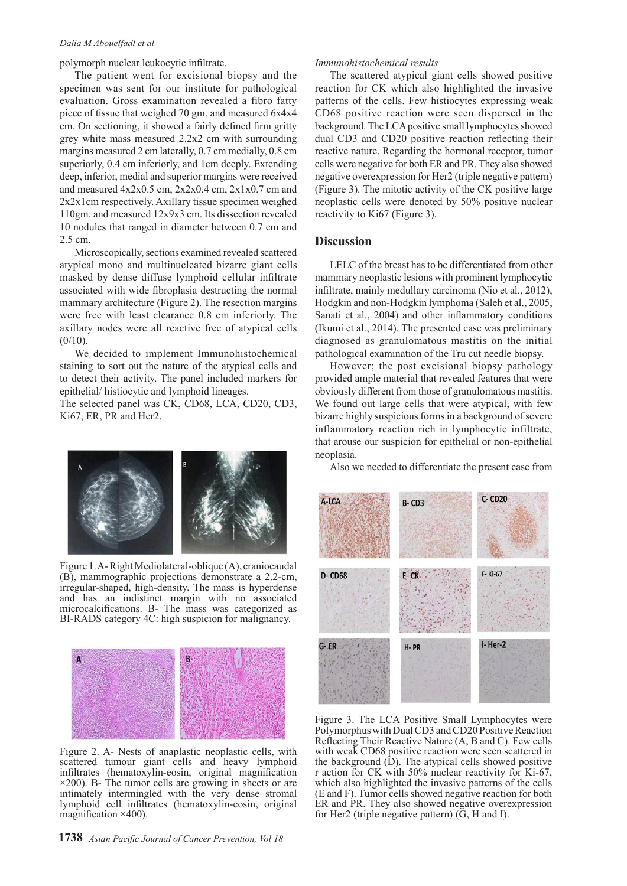#### *Dalia M Abouelfadl et al*

polymorph nuclear leukocytic infiltrate.

The patient went for excisional biopsy and the specimen was sent for our institute for pathological evaluation. Gross examination revealed a fibro fatty piece of tissue that weighed 70 gm. and measured 6x4x4 cm. On sectioning, it showed a fairly defined firm gritty grey white mass measured 2.2x2 cm with surrounding margins measured 2 cm laterally, 0.7 cm medially, 0.8 cm superiorly, 0.4 cm inferiorly, and 1cm deeply. Extending deep, inferior, medial and superior margins were received and measured  $4x2x0.5$  cm,  $2x2x0.4$  cm,  $2x1x0.7$  cm and 2x2x1cm respectively. Axillary tissue specimen weighed 110gm. and measured 12x9x3 cm. Its dissection revealed 10 nodules that ranged in diameter between 0.7 cm and 2.5 cm.

Microscopically, sections examined revealed scattered atypical mono and multinucleated bizarre giant cells masked by dense diffuse lymphoid cellular infiltrate associated with wide fibroplasia destructing the normal mammary architecture (Figure 2). The resection margins were free with least clearance 0.8 cm inferiorly. The axillary nodes were all reactive free of atypical cells  $(0/10)$ .

We decided to implement Immunohistochemical staining to sort out the nature of the atypical cells and to detect their activity. The panel included markers for epithelial/ histiocytic and lymphoid lineages.

The selected panel was CK, CD68, LCA, CD20, CD3, Ki67, ER, PR and Her2.



Figure 1. A- Right Mediolateral-oblique (A), craniocaudal (B), mammographic projections demonstrate a 2.2-cm, irregular-shaped, high-density. The mass is hyperdense and has an indistinct margin with no associated microcalcifications. B- The mass was categorized as BI-RADS category 4C: high suspicion for malignancy.



Figure 2. A- Nests of anaplastic neoplastic cells, with scattered tumour giant cells and heavy lymphoid infiltrates (hematoxylin-eosin, original magnification  $\times$ 200). B- The tumor cells are growing in sheets or are intimately intermingled with the very dense stromal lymphoid cell infiltrates (hematoxylin-eosin, original magnification  $\times$ 400).

infiltrate, mainly medullary carcinoma (Nio et al., 2012), Hodgkin and non-Hodgkin lymphoma (Saleh et al., 2005, Sanati et al., 2004) and other inflammatory conditions (Ikumi et al., 2014). The presented case was preliminary diagnosed as granulomatous mastitis on the initial pathological examination of the Tru cut needle biopsy.

LELC of the breast has to be differentiated from other mammary neoplastic lesions with prominent lymphocytic

The scattered atypical giant cells showed positive reaction for CK which also highlighted the invasive patterns of the cells. Few histiocytes expressing weak CD68 positive reaction were seen dispersed in the background. The LCA positive small lymphocytes showed dual CD3 and CD20 positive reaction reflecting their reactive nature. Regarding the hormonal receptor, tumor cells were negative for both ER and PR. They also showed negative overexpression for Her2 (triple negative pattern) (Figure 3). The mitotic activity of the CK positive large neoplastic cells were denoted by 50% positive nuclear

*Immunohistochemical results*

reactivity to Ki67 (Figure 3).

**Discussion** 

However; the post excisional biopsy pathology provided ample material that revealed features that were obviously different from those of granulomatous mastitis. We found out large cells that were atypical, with few bizarre highly suspicious forms in a background of severe inflammatory reaction rich in lymphocytic infiltrate, that arouse our suspicion for epithelial or non-epithelial neoplasia.

Also we needed to differentiate the present case from



Figure 3. The LCA Positive Small Lymphocytes were Polymorphus with Dual CD3 and CD20 Positive Reaction Reflecting Their Reactive Nature (A, B and C). Few cells with weak CD68 positive reaction were seen scattered in the background  $(D)$ . The atypical cells showed positive r action for CK with 50% nuclear reactivity for Ki-67, which also highlighted the invasive patterns of the cells (E and F). Tumor cells showed negative reaction for both ER and PR. They also showed negative overexpression for Her2 (triple negative pattern) (G, H and I).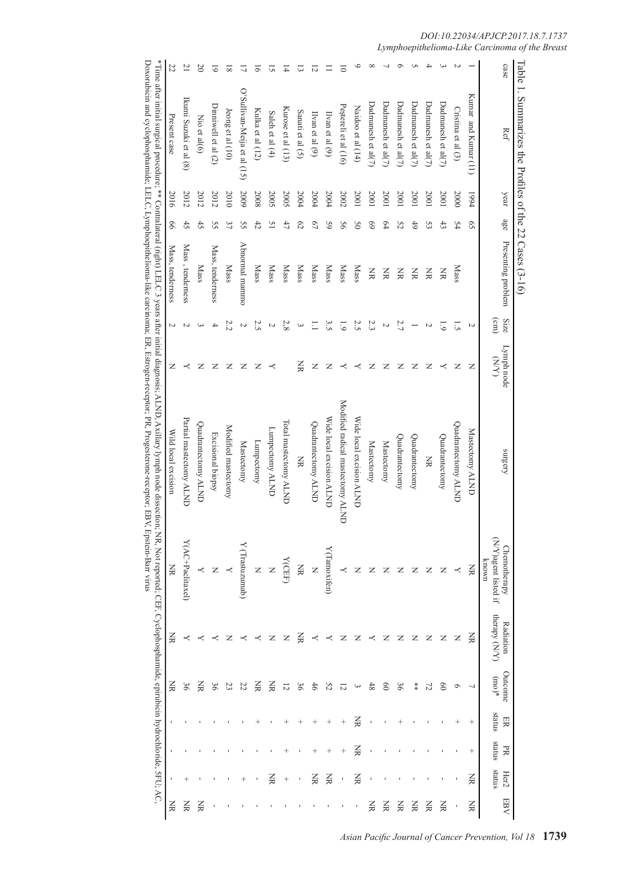|                | Table 1. Summarizes the Profiles of the 22 Cases $(3-16)$ |      |                 |                    |                           |                    |                                                                                                                                                                                                                                                                                   |                                                                                                   |                            |                                 |              |              |                |               |
|----------------|-----------------------------------------------------------|------|-----------------|--------------------|---------------------------|--------------------|-----------------------------------------------------------------------------------------------------------------------------------------------------------------------------------------------------------------------------------------------------------------------------------|---------------------------------------------------------------------------------------------------|----------------------------|---------------------------------|--------------|--------------|----------------|---------------|
| case           | Ref                                                       | year | age             | Presenting problem | Size<br>$\binom{cm}{ }$   | Lymph node<br>(XN) | surgery                                                                                                                                                                                                                                                                           | N/Y)agent listed if<br><b>Chemotherapy</b><br>known                                               | therapy (N/Y)<br>Kadiation | Outcome<br>$_{*}(\mathrm{out})$ | status<br>ER | status<br>PR | status<br>Her2 | <b>FBV</b>    |
|                | Kumar and Kumar (11)                                      | 1994 | $\overline{S}$  |                    | N                         | Z                  | Mastectomy ALND                                                                                                                                                                                                                                                                   | Ă                                                                                                 | W                          |                                 | $^+$         | $^{+}$       | KK             | ă             |
| N              | Cristina et al $(3)$                                      | 2000 | 54              | <b>Nass</b>        | $\overline{S}$            | z                  | Quadrantectomy ALND                                                                                                                                                                                                                                                               |                                                                                                   | z                          | Q                               | $\,{}^+$     |              |                |               |
|                | Dadmanesh et al $(7)$                                     | 2001 | 43              | Š                  | $\overline{6}$            | ≺                  | Quadrantectomy                                                                                                                                                                                                                                                                    | Z                                                                                                 | z                          | $\infty$                        |              |              |                | š             |
|                | Dadmanesh et al $(7)$                                     | 2001 | 53              | Š                  | Z                         | z                  | ΧŘ                                                                                                                                                                                                                                                                                | z                                                                                                 | z                          | 77                              |              |              |                | Š             |
|                | Dadmanesh et al $(7)$                                     | 2001 | 6 <sup>†</sup>  | š                  | $\overline{\phantom{0}}$  | z                  | Quadrantectomy                                                                                                                                                                                                                                                                    | Z                                                                                                 | z                          | **                              |              |              |                | š             |
|                | Dadmanesh et al $(7)$                                     | 2001 | 52              | Ř                  | 2.7                       | z                  | Quadrantectomy                                                                                                                                                                                                                                                                    |                                                                                                   | z                          | 96                              |              |              |                | š             |
|                | Dadmanesh et al $(7)$                                     | 2001 | 64              | Ř                  | Z                         | z                  | Mastectomy                                                                                                                                                                                                                                                                        |                                                                                                   | z                          | $\overline{0}$                  |              |              |                | W             |
|                | Dadmanesh et al $(7)$                                     | 2001 | 69              | Š                  | 2.3                       | z                  | Mastectomy                                                                                                                                                                                                                                                                        |                                                                                                   |                            | 48                              |              |              |                | š             |
|                | Naidoo et al $(14)$                                       | 2001 | $\mathcal{S}^0$ | <b>Mass</b>        | 2.5                       | ≺                  | Wide local excision ALND                                                                                                                                                                                                                                                          | Z                                                                                                 | z                          | $\tilde{\phantom{a}}$           | ¥            | ¥            | ¥              |               |
| ᅙ              | Peștereli et al (16)                                      | 2002 | 95              | <b>Nass</b>        | 61                        | ≺                  | Modified radical mastectomy ALND                                                                                                                                                                                                                                                  |                                                                                                   | z                          | 5                               |              |              |                |               |
|                | Ilvan et al $(9)$                                         | 2004 | 65              | <b>Mass</b>        | 3.5                       | z                  | Wide local excision ALND                                                                                                                                                                                                                                                          | Y(Tamoxifen)                                                                                      | ≺                          | 52                              |              |              | š              |               |
| ā              | Ivan et al $(9)$                                          | 2004 | $\overline{c}$  | <b>Nass</b>        | $\Box$                    | Z                  | Quadrantectomy ALND                                                                                                                                                                                                                                                               | Z                                                                                                 | ≺                          | 46                              |              |              | š              |               |
| ದ              | Sanati et al $(5)$                                        | 2004 | 62              | Mass               | $\overline{\mathbf{c}}$   | ¥                  | ЖK                                                                                                                                                                                                                                                                                | Š                                                                                                 | š                          | 36                              |              |              |                |               |
| 귝              | Kurose et al $(13)$                                       | 2005 | 47              | Mass               | $2.8\,$                   |                    | Total mastectomy ALND                                                                                                                                                                                                                                                             | Y(CEF)                                                                                            | z                          | 12                              |              |              | $^{+}$         |               |
| ᠳ              | Saleh et al $(4)$                                         | 2005 | 51              | <b>Mass</b>        | $\boldsymbol{\mathsf{c}}$ | ≺                  | Lumpectomy ALND                                                                                                                                                                                                                                                                   |                                                                                                   | z                          | š                               |              |              | š              |               |
| 5              | Kulka et al (12)                                          | 2008 | 42              | <b>Mass</b>        | 2.5                       | z                  | Lunpectomy                                                                                                                                                                                                                                                                        | Z                                                                                                 |                            | š                               |              |              |                |               |
| コ              | O'Sullivan-Meija et al (15)                               | 2009 | SS              | Abnormal mammo     | Z                         | z                  | Mastectomy                                                                                                                                                                                                                                                                        | Y (Trastuzumab)                                                                                   |                            | 22                              |              |              |                |               |
| ≅              | Jeong et al (10)                                          | 2010 | 37              | <b>Mass</b>        | 2.2                       | z                  | Modified mastectomy                                                                                                                                                                                                                                                               |                                                                                                   | z                          | 23                              |              |              |                |               |
| 5              | Dinniwell et al (2)                                       | 2012 | SS              | Mass, tenderness   | 4                         | z                  | Excisional biopsy                                                                                                                                                                                                                                                                 |                                                                                                   |                            | 36                              |              |              |                |               |
| $\infty$       | Nio et al(6)                                              | 2012 | 42              | Mass               | ς                         | z                  | Juadrantectomy ALND                                                                                                                                                                                                                                                               |                                                                                                   |                            | ¥                               |              |              |                | ℥             |
| $\overline{C}$ | Ikumi Suzuki et al (8)                                    | 2012 | 45              | Mass, tenderness   | Z                         | ≺                  | Partial mastectomy ALND                                                                                                                                                                                                                                                           | $Y(AC+Paclitaxel)$                                                                                |                            | 96                              |              |              |                | W             |
| 22             | Present case                                              | 2016 | 99              | Mass, tenderness   | $\sim$                    | z                  | Wild local excision                                                                                                                                                                                                                                                               | Š                                                                                                 | ℥                          | ℥                               |              |              |                | $\breve{\Xi}$ |
|                |                                                           |      |                 |                    |                           |                    | *Time atter initial surgical procedure; ** Contralateral (tright) LELC 3 years atter initial diagnosis; ALND, Axillary Iymph node dissection;<br>Doxorubicin and cyclophosphamide; LELC, Lymphoepidhelioma-like carcinoma; ER, Estrogen-receptor, PR, Progesterone-receptor; EBV, | Epstein-Barr virus<br>NR, Not reported; CEF, Cyclophosphamide, epirubicin hydrochloride, SFU; AC, |                            |                                 |              |              |                |               |
|                |                                                           |      |                 |                    |                           |                    |                                                                                                                                                                                                                                                                                   |                                                                                                   |                            |                                 |              |              |                |               |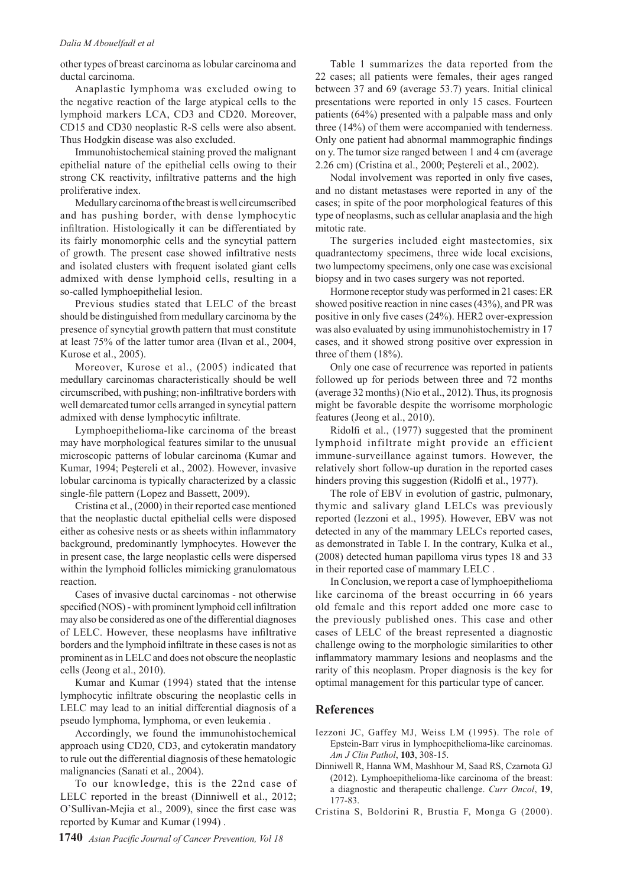#### *Dalia M Abouelfadl et al*

other types of breast carcinoma as lobular carcinoma and ductal carcinoma.

Anaplastic lymphoma was excluded owing to the negative reaction of the large atypical cells to the lymphoid markers LCA, CD3 and CD20. Moreover, CD15 and CD30 neoplastic R-S cells were also absent. Thus Hodgkin disease was also excluded.

Immunohistochemical staining proved the malignant epithelial nature of the epithelial cells owing to their strong CK reactivity, infiltrative patterns and the high proliferative index.

Medullary carcinoma of the breast is well circumscribed and has pushing border, with dense lymphocytic infiltration. Histologically it can be differentiated by its fairly monomorphic cells and the syncytial pattern of growth. The present case showed infiltrative nests and isolated clusters with frequent isolated giant cells admixed with dense lymphoid cells, resulting in a so-called lymphoepithelial lesion.

Previous studies stated that LELC of the breast should be distinguished from medullary carcinoma by the presence of syncytial growth pattern that must constitute at least 75% of the latter tumor area (Ilvan et al., 2004, Kurose et al., 2005).

Moreover, Kurose et al., (2005) indicated that medullary carcinomas characteristically should be well circumscribed, with pushing; non-infiltrative borders with well demarcated tumor cells arranged in syncytial pattern admixed with dense lymphocytic infiltrate.

Lymphoepithelioma-like carcinoma of the breast may have morphological features similar to the unusual microscopic patterns of lobular carcinoma (Kumar and Kumar, 1994; Peştereli et al., 2002). However, invasive lobular carcinoma is typically characterized by a classic single-file pattern (Lopez and Bassett, 2009).

Cristina et al., (2000) in their reported case mentioned that the neoplastic ductal epithelial cells were disposed either as cohesive nests or as sheets within inflammatory background, predominantly lymphocytes. However the in present case, the large neoplastic cells were dispersed within the lymphoid follicles mimicking granulomatous reaction.

Cases of invasive ductal carcinomas - not otherwise specified (NOS) - with prominent lymphoid cell infiltration may also be considered as one of the differential diagnoses of LELC. However, these neoplasms have infiltrative borders and the lymphoid infiltrate in these cases is not as prominent as in LELC and does not obscure the neoplastic cells (Jeong et al., 2010).

Kumar and Kumar (1994) stated that the intense lymphocytic infiltrate obscuring the neoplastic cells in LELC may lead to an initial differential diagnosis of a pseudo lymphoma, lymphoma, or even leukemia .

Accordingly, we found the immunohistochemical approach using CD20, CD3, and cytokeratin mandatory to rule out the differential diagnosis of these hematologic malignancies (Sanati et al., 2004).

To our knowledge, this is the 22nd case of LELC reported in the breast (Dinniwell et al., 2012; O'Sullivan-Mejia et al., 2009), since the first case was reported by Kumar and Kumar (1994) .

Table 1 summarizes the data reported from the 22 cases; all patients were females, their ages ranged between 37 and 69 (average 53.7) years. Initial clinical presentations were reported in only 15 cases. Fourteen patients (64%) presented with a palpable mass and only three (14%) of them were accompanied with tenderness. Only one patient had abnormal mammographic findings on y. The tumor size ranged between 1 and 4 cm (average 2.26 cm) (Cristina et al., 2000; Peştereli et al., 2002).

Nodal involvement was reported in only five cases, and no distant metastases were reported in any of the cases; in spite of the poor morphological features of this type of neoplasms, such as cellular anaplasia and the high mitotic rate.

The surgeries included eight mastectomies, six quadrantectomy specimens, three wide local excisions, two lumpectomy specimens, only one case was excisional biopsy and in two cases surgery was not reported.

Hormone receptor study was performed in 21 cases: ER showed positive reaction in nine cases (43%), and PR was positive in only five cases (24%). HER2 over-expression was also evaluated by using immunohistochemistry in 17 cases, and it showed strong positive over expression in three of them (18%).

Only one case of recurrence was reported in patients followed up for periods between three and 72 months (average 32 months) (Nio et al., 2012). Thus, its prognosis might be favorable despite the worrisome morphologic features (Jeong et al., 2010).

Ridolfi et al., (1977) suggested that the prominent lymphoid infiltrate might provide an efficient immune-surveillance against tumors. However, the relatively short follow-up duration in the reported cases hinders proving this suggestion (Ridolfi et al., 1977).

The role of EBV in evolution of gastric, pulmonary, thymic and salivary gland LELCs was previously reported (Iezzoni et al., 1995). However, EBV was not detected in any of the mammary LELCs reported cases, as demonstrated in Table I. In the contrary, Kulka et al., (2008) detected human papilloma virus types 18 and 33 in their reported case of mammary LELC .

In Conclusion, we report a case of lymphoepithelioma like carcinoma of the breast occurring in 66 years old female and this report added one more case to the previously published ones. This case and other cases of LELC of the breast represented a diagnostic challenge owing to the morphologic similarities to other inflammatory mammary lesions and neoplasms and the rarity of this neoplasm. Proper diagnosis is the key for optimal management for this particular type of cancer.

#### **References**

- Iezzoni JC, Gaffey MJ, Weiss LM (1995). The role of Epstein-Barr virus in lymphoepithelioma-like carcinomas. *Am J Clin Pathol*, **103**, 308-15.
- Dinniwell R, Hanna WM, Mashhour M, Saad RS, Czarnota GJ (2012). Lymphoepithelioma-like carcinoma of the breast: a diagnostic and therapeutic challenge. *Curr Oncol*, **19**, 177-83.
- Cristina S, Boldorini R, Brustia F, Monga G (2000).